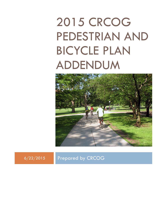# 2015 CRCOG PEDESTRIAN AND BICYCLE PLAN ADDENDUM



6/22/2015 Prepared by CRCOG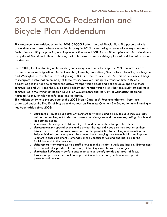# 2015 CRCOG Pedestrian and Bicycle Plan Addendum

This document is an addendum to the 2008 CRCOG Pedestrian and Bicycle Plan. The purpose of this addendum is to present where the region is today in 2015 by reporting on some of the key changes in Pedestrian and Bicycle planning and implementation since 2008. An additional piece of this addendum is an updated Multi-Use Path map showing paths that are currently existing, planned and funded or under construction.

Since 2008, the Capitol Region has undergone changes in its membership. The MPO boundaries are currently under redesignation. Berlin, Columbia, Coventry, Mansfield, New Britain, Plainville, Southington and Willington have voted in favor of joining CRCOG effective July 1, 2015. This addendum will begin to incorporate information on many of these towns; however, during this transition time, CRCOG acknowledges the need to consider the active transportation goals and policies developed for these communities and will keep the Bicycle and Pedestrian/Transportation Plans that previously guided those communities in the Windham Region Council of Governments and the Central Connecticut Regional Planning Agency on file for reference and guidance.

This addendum follows the structure of the 2008 Plan's Chapter 5: Recommendations. Items are organized under the Five E's of bicycle and pedestrian Planning. One new E – Evaluation and Planning – has been added since 2008:

- o *Engineering* building a better environment for walking and biking. This also includes tasks related to reaching out to decision makers and designers and planners regarding bicycle and pedestrian design
- o *Education* teaching pedestrians, bicyclists and motorists how to operate safely
- o *Encouragement*  special events and activities that get individuals on their feet or on their bikes. These efforts can raise awareness of the possibilities for walking and bicycling and help individuals get over qualms they have about changing their travel habits. An important element in encouragement is emphasis on the benefits of walking and bicycling to the individual and to the community
- o *Enforcement* enforcing existing traffic laws to make it safe to walk and bicycle. Enforcement is an important supporter of education, reinforcing share the road messages.
- o *Evaluation & Planning* performance metrics help identify trends and areas of focus. Evaluation provides feedback to help decision makers create, implement and prioritize projects and policies.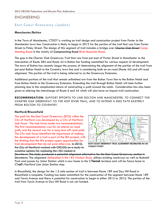# ENGINEERING

# **East Coast Greenway** *(update)*

#### **Manchester/Bolton**

In the Town of Manchester, CTDOT is working on trail design and construction project from Porter to the Manchester town line. Construction is likely to begin in 2015 for the portion of the trail that runs from Porter Street to Finley Street. The design of this segment of trail includes a bridge over Charter Oak Street Camp Meeting Road in the vicinity of <del>Campmeeting Road</del> Birch Mountain Road.

The gap in the Charter Oak Greenway Trail that runs from just east of Porter Street in Manchester to the intersection of Route 384 and Route 44 in Bolton has funding committed for various aspects of development. The town of Bolton has recently begun the process of determining the alignment of the portion of the trail from just past Bolton Notch to the Coventry town line and is considering both an on-road (Route 44) and off-road alignment. This portion of the trail is being referred to as the Greenway Extension.

Additional portions of the trail that remain unfinished are from the Bolton Town line to the Bolton Notch and from Bolton Notch to the Greenway Extension. Extending the trail through Bolton Notch will take further planning due to the complicated nature of constructing a path around the notch. Consideration has also been given to altering the interchange of Route 6 and 44 which will also have an impact trail construction.

**RECOMMENDATION:** SUPPORT EFFORTS TO LINK BOLTON AND MANCHESTER, TO CONNECT THE CHARTER OAK GREENWAY TO THE HOP RIVER TRAIL, AND TO EXTEND A BIKE PATH EASTERLY FROM BOLTON TO COVENTRY.

#### **Hartford/Bloomfield**

The path for the East Coast Greenway (ECG) within the City of Hartford was developed by a City of Hartford task force. The task force made two recommendations. The first recommendation was for an interim on road path, and the second was for a long term off road path. The City task force identified the importance of making the development of a trail a part of the I84 project, with the thinking that the I84 project opens opportunities for trail development that do not exist otherwise. In 2010, the City of Hartford worked with CRCOG on a study to examine options for replacing the I 84 viaduct in





Downtown. The study produced a potential alignment alternative for the East Coast Greenway section in Downtown. The alignment delineated in the I 84 Viaduct Study utilizes existing roadways as well as Bushnell Park and passes by Union Station which is now home to the CT*fastrak* terminus and will be future home to CT*rail*'s Hartford Line Union Station stop.

In Bloomfield, the design for the 1.5 mile section of trail in between Route 189 and Day Hill Road in Bloomfield is complete. Funding has been committed for the construction of the segment between Route 189 and Tunxis Avenue and there is potential for construction to begin in either 2015 or 2016. The portion of the trail from Tunxis Avenue to Day Hill Road is not yet funded.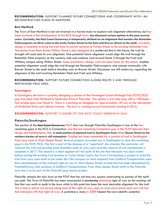#### **RECOMMENDATION:** SUPPORT PLANNED FUTURE CONNECTIONS AND COORDINATE WITH I-84 RECONSTRUCTION PLANS IN HARTFORD.

#### **East Hartford**

The Town of East Hartford is not yet involved in a formal study to explore trail alignment alternatives, but has been involved in the development of the ECG through town. has discussed various options in the past several years. Currently, the East Coast Greenway is temporarily defined on an alignment that borders the Rentschler Field property on Silver Lane to the north, Forbes Street to the East and Brewer Street to the south. Currently, design is complete to bring the trail from its current terminus at Forbes Street to the existing Rentschler trail. The section from Main Street/Willow Road is also designed. It is preferred that in the future, the trail be brought off-road onto its own alignment. One potential future alignment would align the trail through the Rentschler Field property on the westerly side and continue west toward Route 2 through the Pratt and Whitney campus along Willow Street. Some preliminary design work has been done for this option. Another potential alignment would align the trail through the Rentschler Field property and connect eventually with Brewer Street to the south before heading west on Brewer Street. Discussions are still underway regarding the alignment of the trail involving Rentchsler Field and Pratt and Whitney.

**RECOMMENDATION:** SUPPORT FUTURE CONNECTION ALONG ROUTE 2 AND THROUGH RENTSCHLER FIELD AREA.

#### **Farmington**

In Farmington, the town is currently designing a section of the Farmington Canal Heritage Trail (FCHT)/ECG gap from Red Oak Hill Road to Northwest Drive in Plainville. This section is 2.4 miles long with a 120 lineal foot bridge span over Route 6. There is a parking lot designed for approximately 30 cars at the intersection of Northwest Drive and Johnson Avenue. The town is working toward construction starting in 2016.

#### **RECOMMENDATION:** SUPPORT CLOSURE OF THIS EAST COAST GREENWAY GAP.

#### **Plainville/Southington**

The portion of the East Coast Greenway FCHT that runs through Plainville/Southington is one of the few remaining gaps in the ECG in Connecticut, and the last remaining Connecticut gap in the FCHT between New Haven and Northampton, MA. A small portion of planned trail in Southington from West Queen Street to the northern border of town is still incomplete. Funding has been committed for a portion of trail in Southington from Lazy Lane to West Queen Street. Several projects are underway in Southington to close the remaining gaps in the FCHT/ECG. The first is part of the cleanup of a "superfund" site whereby the contractor will construct the trail and provide some amenities south of Lazy Lane once the removal of soil contaminants is complete in 2017. The second is a short segment of trail south of this site that intersects two local streets before joining the existing trail terminus at Curtiss Street. Lastly, the Town is formulating a project to build the trail from Lazy Lane north to just under the I-84 overpass on land acquired from Guilford Transportation upon their abandonment of the railroad right-of-way to West Queen Street on land that has been abandoned by PanAmRailways (the successor to Guilford Transportation). From West Queen Street north to the Plainville town line is to be part of the Plainville gap closure project.

Plainville remains the only town on the FCHT that has not had any success constructing its portion of this multiuse path. The Town of Plainville has been unsuccessful in purchasing obtaining right of way on the existing rail line that runs north to south in the town which to this point has been the most desirable alignment for the trail. This is due to active rail service along most of the right-of-way, and, an even more active east-west rail line that intersects with that right-of-way. A preliminary study in 2009 helped the town identify potential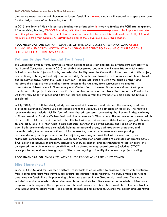alternative routes for the trail; however, a larger feasibility planning study is still needed to prepare the town for the design phase of implementing the trail.

In 2015, the Town of Plainville pursued funding for  $\theta$  feasibility this study to finalize the FCHT trail alignment. After receiving funding, CRCOG is working with the town is currently working toward this important next step in trail implementation. This study will also examine a connection between this portion of the FCHT/ECG and the multi-use trail that parallels CT*fastrak* beginning at the Downtown New Britain Station.

#### **RECOMMENDATION:** SUPPORT CLOSURE OF THIS EAST COAST GREENWAY GAP. ASSIST PLAINVILLE AND SOUTHINGTON BY MANAGING THE STUDY TO EXAMINE CLOSURE OF THIS FCHT/EAST COAST GREENWAY GAP.

### **Putnam Bridge Multimodal Trail** *(new)*

The Connecticut River currently provides a major barrier to pedestrian and bicycle infrastructure connectivity in the State of Connecticut. In early 2013, a rehabilitation project began on the Putnam Bridge which carries limited access Route 3 (a no-bicycle, no-pedestrian facility) over the Connecticut River. As part of this project, new walkway is being added adjacent to the bridge's northbound travel way to accommodate future bicycle and pedestrian travel within the Route 3 corridor. The project limits are within the bridge proper, and therefore the project is not providing formal access to the walkway from surrounding multimodal transportation infrastructure in Glastonbury and Wethersfield. However, it is now envisioned that upon completion of the project, scheduled for 2015, a construction access ramp from Great Meadow Road to the walkway may be left in place and allow for informal access from the Wethersfield side once the bridge is completed.

In July 2014, a CTDOT feasibility Study was completed to evaluate and advance the planning work for providing multimodal/shared use path connections to the walkway on both sides of the river. The resulting recommendations include 4,750 feet of new shared use path connecting the Putnam Bridge walkway to Great Meadow Road in Wethersfield and Naubuc Avenue in Glastonbury. The recommended overall width of the path is 14 feet, which includes the 10- foot wide paved surface, a 3-foot wide aggregate shoulder on one side, and a 1-foot wide aggregate strip between the paved surface and railing on the other side. Path recommendations also include lighting, turnaround areas, path/roadway protection, and amenities. Also, the recommendations call for intersecting roadway improvements, new parking accommodations, and improvements on the adjoining roadway network that will enhance safety, and multimodal connectivity are provided. Design and Construction phase costs are estimated at approximately \$7.6 million not inclusive of property acquisition, utility relocation, and environmental mitigation costs. It is anticipated that maintenance responsibilities will be shared among several parties (including CTDOT, municipal forces, and volunteer groups). Efforts are ongoing to identify the necessary project funding.

**RECOMMENDATION:** WORK TO MOVE THESE RECOMMENDATIONS FORWARD.

# **Bike Share** *(new)*

In 2014, CRCOG and the Greater Hartford Transit District led an effort to produce a study with assistance from a consulting team from FourSquare Integrated Transportation Planning. The study's main goal was to determine the feasibility of implementing a bike share system in the Greater Hartford area. The study included a market analysis to determine feasible sub-markets for bike share and an analysis of bike share propensity in the region. The propensity map showed areas where bike share would have the most traction with surrounding residents, visitors and existing businesses and institutions. Overall the market analysis found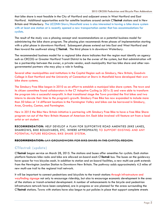that bike share is most feasible in the City of Hartford and adjacent areas in West Hartford and East Hartford. Additional opportunities exist for satellite locations around certain CT*fastrak* stations and in New Britain and Waterbury. The UCONN Storrs/Mansfield area is also interested in having a bike share system with at least one station at is recently opened a new transportation center that has accommodations for cyclists.

The result of the study was a phasing concept and recommendations on a potential business model for administering the bike share program. The phasing plan recommends three phases of implementation starting with a pilot phase in downtown Hartford. Subsequent phases extend out into East and West Hartford and then toward the southwest along CT*fastrak*. The third phase is in downtown Waterbury.

The recommended business model for a regional bike share indicates that the region must identify an agency such as CRCOG or Greater Hartford Transit District to be the owner of the system, but that administration will be a partnership between the owner, a private vendor, each municipality that has bike share and other nongovernmental partners who may play a role in funding.

Several other municipalities and institutions in the Capitol Region such as Simsbury, New Britain, Goodwin College in East Hartford and the University of Connecticut at Storrs in Mansfield have developed their own bike share systems.

The Simsbury Free Bike began in 2010 as an effort to establish a municipal bike share system. The town and its citizen committee found collaborators in the CT Adaptive Cycling (a 501c-3) and were able to transform the program into a successful nonprofit. In that transitional stage the Town provided the first bikes and two interns to devote their time to the program's growth. Simsbury Free Bike has now expanded to include more than 50 bikes at 14 different locations in the Farmington Valley and bikes can be borrowed in Simsbury, Avon, Granby, Canton, and Farmington.

New in 2015 the Bike New Britain initiative is partnering with Simsbury Free Bike to have a free Bike Share program run out of the New Britain Museum of American Art. Each bike involved will feature art from a local artist or art student.

**RECOMMENDATION:** HELP DEVELOP A PLAN FOR SUPPORTIVE ROAD AMENITIES (BIKE LANES, SHARROWS, BIKE BOULEVARDS, ETC. WHERE APPROPRIATE) TO SUPPORT EXISTING AND ANY POTENTIAL FUTURE REGIONAL BIKE SHARE SYSTEM.

#### **RECOMMENDATION:** LAY GROUNDWORK FOR BIKE SHARE IN THE CAPITOL REGION.

# **CT***fastrak* **(***update***)**

CT*fastrak* began service on March 28, 2015. The stations and buses offer amenities for cyclists. Each station platform features bike racks and bike are allowed on-board each CT*fastrak* bus. The buses on the guideway have space for two bicycles each. In addition to station and on-board facilities, a new multi-use path extends from the Newington Junction Station to Downtown New Britain. The pathway adds approximately 4.5 miles of new mutli-use trail to the regional trail network.

It will be important to connect pedestrians and bicyclists to the transit stations through infrastructure and wayfinding signage not only to encourage ridership, but also to encourage economic development in the area of the stations or transit-oriented development. A number of enhancements to the bicycle and pedestrian infrastructure network have been completed, are in progress or are planned for the areas surrounding the CT*fastrak* stations. Towns with stations have also begun to put policies in place that support complete streets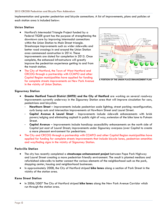implementation and greater pedestrian and bicycle connections. A list of improvements, plans and policies at each station area is included below:

#### **Union Station**

- Hartford's Intermodal Triangle Project funded by a Federal TIGER grant has the purpose of strengthening the downtown core by improving intermodal connections within the Union Station to Main Street triangle. Streetscape improvements such as wider sidewalks and better road crossings in and around the Union Station area commenced construction in 2014. These improvements are slated for completion in 2015. Once complete, the enhanced infrastructure will greatly improve the pedestrian experience getting to and from the transit station.
- The City of Hartford, the Town of West Hartford and CRCOG through a partnership with CCMPO and other Capitol Region municipalities have applied for funding for complete streets improvements on New Park Avenue in the vicinity of Union Station.



**A PORTION OF THE UNION PLACE ENHANCEMENT PLAN**

#### **Sigourney Station**

- **Greater Hartford Transit District (GHTD) and the City of Hartford** are working on several roadway improvements currently underway in the Sigourney Station area that will improve circulation for cars, pedestrians and bicyclists:
	- **- Hawthorn Street** improvements include pedestrian scale lighting; street parking reconfiguration, curb bump outs and intersection improvements at Hawthorn Street and Laurel Street.
	- **- Capitol Avenue & Laurel Street** Improvements include sidewalk enhancements with brick pavers/edging and eliminating asphalt in public right of way; extension of the bike lane to Putnam Street.
	- **- Capitol Avenue** improvements include handicap accessibility enhancements on the north side of Capitol just east of Laurel Street; improvements under Sigourney overpass (over Capitol to create a more pleasant environment for pedestrians.
- The City and CRCOG through a partnership with CCMPO and other Capitol Region municipalities have applied for funding for complete streets improvements that include bicycle lanes, pedestrian amenities and wayfinding signs in the vicinity of Sigourney Station.

#### **Parkville Station**

- The city has recently completed a **streetscape enhancement project** between Pope Park Highway and Laurel Street creating a more pedestrian friendly environment. The result is planted medians and refurbished sidewalks to better connect the various elements of the neighborhood such as the park, shopping center, housing and neighborhood businesses.
- In approximately 2008, the City of Hartford striped **bike lanes** along a section of Park Street in the vicinity of the station area.

#### **Kane Street Station**

 In 2006/2007 The City of Hartford striped **bike lanes** along the New Park Avenue Corridor which run through the station area.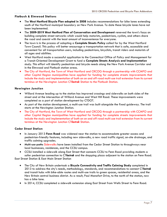#### **Flatbush & Elmwood Stations**

- The **West Hartford Bicycle Plan adopted in 2008** includes recommendations for bike lanes extending south of the Hartford municipal boundary on New Park Avenue. To date these bicycle lanes have not been implemented.
- The **2009-2019 West Hartford Plan of Conservation and Development** renewed the town's focus on building complete street networks which would help motorists, pedestrians, cyclists, and others share the road and coexist with the least amount of inconvenience for everyone.
- The town is in the process of adopting a **Complete Streets Policy** called for by the West Hartford Town Council. This policy will better encourage a transportation network that is safe, accessible and convenient for all transportation users, including pedestrians, bicyclists, transit riders and motorists of all ages and abilities.
- West Hartford made a successful application to the Connecticut Office of Policy and Management for a Transit-Oriented Development Grant to fund a **Complete Streets Analysis and Implementation** study. This effort will identify pedestrian and bicycle needs along the New Park Avenue Corridor and in the Elmwood and Flatbush station areas.
- The City of Hartford, the Town of West Hartford and CRCOG through a partnership with CCMPO and other Capitol Region municipalities have applied for funding for complete streets improvements that include the study and implementation of both an on and off-road multi-use trail extension from its current terminus at the Newington Junction CT*fastrak* Station to the Flatbush Station.

#### **Newington Junction**

- Willard Avenue leading up to the station has improved crossings and sidewalks on both sides of the street and at the intersection of Willard Avenue and West Hill Road. These improvements were completed as a part of station development by CTDOT.
- As part of the station development, a multi-use trail was built alongside the fixed guideway. The trail starts at the Newington Junction Station.
- The City of Hartford, the Town of West Hartford and CRCOG through a partnership with CCMPO and other Capitol Region municipalities have applied for funding for complete streets improvements that include the study and implementation of both an on and off-road multi-use trail extension from its current terminus at the Newington Junction CT*fastrak* Station.

#### **Cedar Street Station**

- In January 2013 **Fenn Road** was widened near the station to accommodate greater access and pedestrian-friendly features, including new sidewalks, a new road traffic signal, on-site drainage, and traffic calming upgrades.
- <del>Multi-use paths</del> Sidewalks have been installed from the Cedar Street Station to throughways near local businesses, residences, and the CCSU campus.
- CCSU installed a sidewalk along East Street that connects CCSU to Fenn Road providing students a safer pedestrian connection to CT*fastrak* and the shopping plaza adjacent to the station on Fenn Road.

East Street Station & East Main Street Station

- The City of New Britain undertook a **Bicycle Connectivity and Traffic Calming Study** completed in 2013 to address the city's needs, methodology, standards, and recommendations to connect CT*fastrak* and transit hubs with bike-able routes and multi-use trails to green spaces, residential areas, and the New Britain central business district. As a result, Paul Manafort Drive, to the north of the station, now has a bike lane.
- In 2014, CCSU completed a sidewalk extension along East Street from Wells Street to Fenn Road.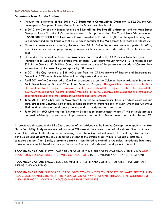#### **Downtown New Britain Station**

- Through the assistance of the **2011 HUD Sustainable Communities Grant** for \$212,500, the City developed a Complete Streets Master Plan for Downtown New Britain.
- In 2012, the City of New Britain received a **\$1.6 million Bus Livability Grant** to fund the Main Street Overpass, Phase V of the city's complete streets capital projects plan. The City of New Britain received a **\$500,000 CT DECD TOD Assistance Grant** awarded in 2014. \$120,000 of the grant is being used to augment funding for Phase 5 of the plan which consists of the Main Street Overpass over Route 72.
- Phase I improvements surrounding the new New Britain Police Department were completed in 2014, which include new landscaping, signage, narrower intersections, and wider sidewalks in the immediate area.
- Phase 3 of the Complete Streets Improvements Plan is funded by \$4.2 million from two grants  $-$  a Transportation, Community and System Preservation (TCSP) grant through FHWA at \$1.3 million and an STP Urban Grant at \$2.5million. One of the major outcomes of this phase is a remodel of Central Park in downtown to increase the green space by 50 percent.
- In **2014**, the City received a \$48,400 grant from the CT Department of Energy and Environmental Protection (DEEP) to implement bike trails on city streets downtown.
- **April 2014—**The City secured a \$3 million streetscape grant for Columbus Boulevard, Main Street, and Bank Street from the State of CT Accident Reduction Program. This grant funds the city's fourth phase of complete streets projects downtown. The key elements of this project are the relocation of the downtown local bus hub "Central Station" from Bank Street to Columbus Boulevard and the introduction of a roundabout at the intersection of Columbus and Bank Streets.
- **June 2014**—RFQ submitted for "Downtown Streetscape Improvements Phase IV", which would realign Bank Street and Columbus Boulevard, provide pedestrian improvements on Main Street and Columbus Blvd., and introduce a roundabout gateway and traffic signals to streetscape.
- **June 2014**—RFQ submitted for "Downtown Streetscape Improvements Phase V", which would provide pedestrian-friendly streetscape improvements to Main Street overpass with Route 72.

As previously discussed in the Bike Share section of this addendum, the Phasing Concept developed in the Bike Share Feasibility Study recommended that most CT*fastrak* stations have a pod of bike share bikes. Not only would this addition to the station area encourage more bicycling and mutli-modal trips utilizing bike and bus, but it would also geographically extend the concept of the station area. While a walkable distance is considered to be  $\frac{1}{4}$  to  $\frac{1}{2}$  mile, a bikable distance is considered to extend to two miles. Introducing bikeshare at station areas could therefore have an impact on future transit-oriented development potential.

**RECOMMENDATION:** ENCOURAGE DEVELOPMENT THAT SUPPORTS WALKING AND BIKING AND SOLUTIONS TO LAST MILE/FIRST MILE CONNECTIONS IN THE VICINITY OF TRANSIT STATIONS.

**RECOMMENDATION:** ENCOURAGE COMPLETE STREETS AND ZONING POLICIES THAT SUPPORT BIKING AND WALKING.

**RECOMMENDATION:** SUPPORT THE REGION'S COMMUNITIES ON EFFORTS TO MAKE BICYCLE AND PEDESTRIAN CONNECTIONS IN THE AREA OF CT*FASTRAK* STATIONS THROUGH INFRASTRUCTURE AND INTERMODAL WAYFINDING/SIGNAGE IMPROVEMENTS.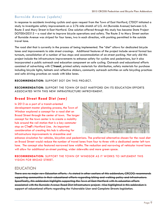# **Burnside Avenue** *(update)*

In response to accidents involving cyclists and upon request from the Town of East Hartford, CTDOT initiated a study to investigate safety improvements on a 2.76 mile stretch of U.S. 44 (Burnside Avenue) between U.S. Route 5 and Mary Street in East Hartford. One solution offered through this study has become State Project DOT00420315 – a road diet to improve bicycle operations and safety. The Route 5 to Mary Street section of Burnside Avenue was striped for four lanes, two in each direction, with parking permitted in the outside travel lane.

The road diet that is currently in the process of being implemented. The "diet" allows for dedicated bicycle lanes and improvements to side street crossings. Additional features of the project include several formal bus turnouts, consolidation of a number of bus stops and accommodation of on-street parking. Not only did this project include the infrastructure improvements to enhance safety for cyclists and pedestrians, but it also incorporated a public outreach and education component on safe cycling. Outreach and educational efforts consisted of advertising with CT*transit*, printed safety materials for distribution, safety materials for purchase including bicycle lights, helmets and reflective stickers, community outreach activities on safe bicycling practices and safe driving practices on roads with bike lanes.

#### **RECOMMENDATION:** SUPPORT DOT ON THIS PROJECT.

**RECOMMENDATION:** SUPPORT THE TOWN OF EAST HARTFORD ON ITS EDUCATION EFFORTS ASSOCIATED WITH THIS NEW INFRASTRUCTURE IMPROVEMENT.

# **Broad Street Road Diet** *(new)*

In 2013 as a part of a transit-oriented development master planning process, the Town of Windsor explored a concept for a road diet on Broad Street through the center of town. The larger concept for the town center is to create a mobility hub around the rail station that is a key commuter stop on CT*rail'*s Hartford Line. An important consideration of creating this hub is allowing for infrastructure improvements to streamline and



enhance circulation for vehicles, bicyclists and pedestrians. The preferred alternative chosen for the road diet on Broad Street would reduce the number of travel lanes from four to three with a dedicated center left turn lane. The concept also featured narrowed lane widths. The reduction and narrowing of vehicular travel lanes will allow for additional on-street parking, wider sidewalks and more green space.

#### **RECOMMENDATION:** SUPPORT THE TOWN OF WINDSOR AS IT WORKS TO IMPLEMENT THIS VISION FOR BROAD STREET.

# EDUCATION

There are no major new Education efforts. As stated in other sections of this addendum, CRCOG recommends supporting communities in their educational efforts regarding biking and walking policy and infrastructure. Specifically, this addendum highlights supporting the Town of East Hartford with its education efforts associated with the Burnside Avenue Road Diet Infrastructure project. Also highlighted in this addendum is support of educational efforts regarding the Vulnerable User and Complete Streets legislation.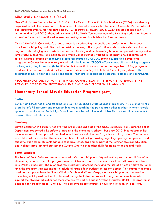# **Bike Walk Connecticut** *(new)*

Bike Walk Connecticut was formed in 2005 as the Central Connecticut Bicycle Alliance (CCBA), an advocacy organization with the mission of creating more bike-friendly communities to benefit Connecticut's recreational and commuter cyclists. Having obtained 501(C)(3) status in January 2006, CCBA decided to broaden its mission and in April 2010, changed its name to Bike Walk Connecticut, now also including pedestrian issues, a statewide focus and a continued interest in creating more bicycle friendly cities and towns.

One of Bike Walk Connecticut's areas of focus is on educating the public and professionals about best practices for bicycling and bike and pedestrian planning. The organization holds a statewide summit on a regular basis, bringing in experts in the field of planning and implementing bicycle and pedestrian supportive infrastructure, programs and policies. Bike Walk Connecticut has worked in the past to help children learn safe bicycling practices by continuing a program started by CRCOG running supporting educational programs in Connecticut elementary schools. Also building on CRCOG efforts to establish a training program for League Cycling Instructors (LCIs), Bike Walk Connecticut has also helped to organize training programs to produce LCIs who are certified by the League of American Bicyclists to lead Smart Cycling classes. The organization has a fleet of bicycles and trainers that are available as a resource to schools and communities.

**RECOMMENDATION**: SUPPORT BIKE WALK CONNECTICUT IN ITS EFFORTS TO EDUCATE THE REGION'S CITIZENS ON BICYCLING AND BICYCLE AND PEDESTRIAN PLANNING.

# **Elementary School Bicycle Education Programs** *(new)*

#### **Berlin**

Berlin High School has a long-standing and well established bicycle education program. As a pioneer in this area, Berlin's PE instructor and mountain bike team coach has helped to train other teachers in other schools systems across the state. Berlin High School has a number of bikes and a bike library that allows students to borrow bikes and return them.

#### **Simsbury**

Bicycle education in Simsbury has evolved into a standard part of the school curriculum. For years, the Police Department supported bike safety programs in the elementary schools, but since 2012, bike education has become an established part of the physical education curriculum for 3rd, 4th, and 5th graders. The students learn bike safety essentials like helmet and bike fit, balancing, braking, signaling, spacing and proper road etiquette. High school students can also take bike safety training as part of the summer physical education and wellness program and can join the Cycling Club which teaches skills for riding on roads and trails.

#### **South Windsor**

The Town of South Windsor has incorporated a Grade 4 bicycle safety education program at all five of its elementary schools. The pilot program was first introduced at two elementary schools with assistance from Bike Walk Connecticut. The pilot program included trainers, helmets, and the use of a fleet of bicycles. Over time, the program was expanded to include all grade four students across the district. This change was made possible by support from the South Windsor Walk and Wheel Ways, the town's bicycle and pedestrian committee, which provides the bicycles used during the instruction as well as a group of volunteers who support the physical education teachers who are trained as League Cycling Instructors (LCIs). The program is designed for children ages 10 to 14. The class runs approximately 6 hours and is taught in 4 sessions.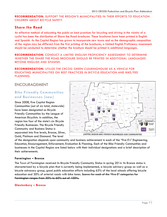**RECOMMENDATION**: SUPPORT THE REGION'S MUNICIPALITIES IN THEIR EFFORTS TO EDUCATION CHILDREN ABOUT BICYCLE SAFETY.

# **Share the Road**

An effective method of educating the public on best practices for bicycling and driving in the vicinity of a cyclist has been the distribution of Share the Road brochures. These brochures have been printed in English and Spanish. As the Capitol Region has grown to incorporate new towns and as the demographic composition of the region may be different from the first printing of the brochures, a Limited English Proficiency assessment should be conducted to determine whether the brochure should be printed in additional languages.

**RECOMMENDATION**: CONDUCT A LIMITED ENGLISH PROFICIENCY ASSESSMENT TO DETERMINE WHETHER THE SHARE THE ROAD BROCHURE SHOULD BE PRINTED IN ADDITIONAL LANGUAGES BEYOND ENGLISH AND SPANISH.

**RECOMMENDATION:** UTILIZE THE CRCOG GREEN CLEARINGHOUSE AS A VEHICLE FOR EDUCATING MUNICIPALITIES ON BEST PRACTICES IN BICYCLE EDUCATION AND BIKE/PED PLANNING.

# ENCOURAGEMENT

# **Bike Friendly Communities and Businesses** *(new)*

Since 2008, five Capitol Region Communities (out of six total, statewide) have been designated as Bicycle Friendly Communities by the League of American Bicyclists. In addition, the region has four of the state's six Bicycle Friendly Businesses. The Bicycle Friendly Community and Business Status is separated into five levels, Bronze, Silver, Gold, Platinum and Diamond. The level



of the designation depends upon community and business achievement in each of the "five E's" Engineering, Education, Encouragement, Enforcement, Evaluation & Planning. Each of the Bike Friendly Communities and businesses in the Capitol Region are listed below with their individual designations and a brief description of their achievements.

#### **Farmington – Bronze**

The Town of Farmington received its Bicycle Friendly Community Status in spring 2014. Its Bronze status is characterized by a bicycle plan that is currently being implemented, a bicycle advisory group as well as a bicycle advocacy group, good public education efforts including 63% of the local schools offering bicycle education and 30% of arterial roads with bike lanes. Scores for each of the "five E" categories for Farmington ranges from 30% to 60% out of 100%.

#### **Glastonbury – Bronze**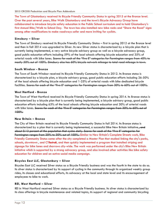The Town of Glastonbury received its Bicycle Friendly Community Status in spring 2015 at the Bronze level. Over the past several years, Bike Walk Glastonbury and the town's Bicycle Advocacy Group have collaborated to introduce bicycle safety education in the Public School curriculum and to hold Glastonbury's first Annual Bike/Walk to School Day. The town has also installed new bike racks and "Share the Road" signs among other modifications to make roadways safer and more inviting for cyclists.

#### **Simsbury – Silver**

The Town of Simsbury received its Bicycle Friendly Community Status – first in spring 2012 at the Bronze level and then in fall 2014 was upgraded to Silver. Its new Silver status is characterized by a bicycle plan that is currently being implemented, a very active bicycle advisory group as well as a bicycle advocacy group, good public education efforts including 59% of the local schools offering bicycle education and 35% of arterial roads with bike lanes. Scores for each of the "five E" categories for Farmington ranges from 40% to mostly 50% out of 100%. Simsbury also has 60% bicycle network mileage to total road mileage in town.

#### **South Windsor - Bronze**

The Town of South Windsor received its Bicycle Friendly Community Status in 2012. Its Bronze status is characterized by a bicycle plan, a bicycle advisory group, good public education efforts including 26-50% of the local schools offering bicycle education and 1-25% of arterial roads with bike dedicated bicycle facilities. Scores for each of the "five E" categories for Farmington ranges from 30% to 60% out of 100%.

#### **West Hartford - Bronze**

The Town of West Hartford received its Bicycle Friendly Community Status in spring 2014. Its Bronze status is characterized by a bicycle plan that is currently being implemented, a bicycle advisory group, good public education efforts including 63% of the local schools offering bicycle education and 30% of arterial roads with bike lanes. Scores for each of the "five E" categories for Farmington ranges from 30% to 60% out of 100%.

#### **New Britain – Bronze**

The City of New Britain received its Bicycle Friendly Community Status in fall 2014. Its Bronze status is characterized by a plan that is currently being implemented, a successful Bike New Britain initiative.<del>, and</del> about 0.13 percent of the population that cycles daily. Scores for each of the "five E" categories for Farmington ranges from 20% to 30% out of 100%. Similar to New Britain's Complete Streets work, Bike Friendly Community Status came after the city completed a Master Plan that studied linking the city's parks, schools, downtown , and CT*fastrak*, and then quickly implemented a program that installed striping and signage for bike lanes and sharrows city-wide. The work was performed under the city's Bike New Britain initiative which is supported by a strong advocacy group, and also involved other activities like bike safety education for children and an active social media campaign.

#### **Bicycles East LLC, Glastonbury – Silver**

Bicycles East LLC received Silver status as a Bicycle Friendly business and was the fourth in the state to do so. Its silver status is characterized by its support of cycling in the community through its organized weekly group rides, its classes and educational efforts, its advocacy at the local and state level and its encouragement of employees to bike to work.

#### **REI, West Hartford – Silver**

REI in West Hartford received Silver status as a Bicycle Friendly business. Its silver status is characterized by its class offerings in bicycle maintenance and related topics, its support of regional and community bicycling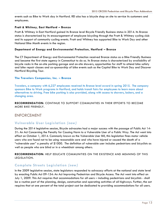events such as Bike to Work day in Hartford. REI also has a bicycle shop on site to service its customers and employees.

#### **Pratt & Whitney, East Hartford – Bronze**

Pratt & Whitney in East Hartford gained its Bronze level Bicycle Friendly Business status in 2014. Its Bronze status is characterized by its encouragement of employee bicycling through the Pratt & Whitney cycling club and its support of community cycling events. Pratt and Whitney has supported Bike to Work Day and other National Bike Month events in the region.

#### **Department of Energy and Environmental Protection, Hartford – Bronze**

The CT Department of Energy and Environmental Protection received Bronze status as a Bike Friendly Business and became the first state agency in Connecticut to do so. Its Bronze status is characterized by availability of bicycle racks in the on-site parking garage and on-site showers, opportunities for staff to attend bike safety and bike repair classes and co-sponsorship of bike events such as the Capitol Bike to Work Day and Discover Hartford Bicycling Tour.

#### **The Travelers Companies, Inc. – Bronze**

Travelers, a company with 6,227 employees received its Bronze level award in spring 2015. The company sponsors Bike to Work programs in Hartford, and holds transit fairs for employees to learn more about alternatives to driving. Free bike parking is also provided, along with access to showers, lockers, and a changing area.

#### **RECOMMENDATION:** CONTINUE TO SUPPORT COMMUNITIES IN THEIR EFFORTS TO BECOME MORE BIKE FRIENDLY.

# ENFORCEMENT

# **Vulnerable User Legislation** *(new)*

During the 2014 legislative session, Bicycle advocates had a major success with the passage of Public Act 14- 31: An Act Concerning the Penalty for Causing Harm to a Vulnerable User of a Public Way. The Act went into effect on October 1, 2014. Commonly known as the Vulnerable User Bill, this legislation fines motor vehicle users who are found not to be using reasonable care and who have injured or caused the death of a "vulnerable user" a penalty of \$1000. The definition of vulnerable user includes pedestrians and bicyclists as well as people who are blind or in a wheelchair among others.

**RECOMMENDATION:** HELP EDUCATE COMMUNITIES ON THE EXISTENCE AND MEANING OF THIS LEGISLATION.

# **Complete Streets Legislation** *(new)*

In the 2009 legislative session, state legislators responded to advocacy efforts at the national and state level by enacting Public Act 09-154: An Act Improving Pedestrian and Bicycle Access. The Act went into effect on July 1, 2009. This Act requires that accommodations for all users – including pedestrians and bicyclists - shall be a routine part of the planning, design, construction and operating activities of all highways. Further, the act requires that at one percent of the total project cost be dedicated to providing accommodations for all users.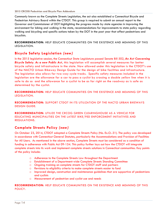Commonly known as the Complete Streets Legislation, the act also established a Connecticut Bicycle and Pedestrian Advisory Board within the CTDOT. This group is required to submit an annual report to the Governor and Commissioner of DOT highlighting the progress made by state agencies in improving the environment for biking and walking in the state, recommendations for improvements to state policy regarding walking and bicycling and specific actions taken by the DOT in the past year that affect pedestrians and bicyclists.

**RECOMMENDATION:** HELP EDUCATE COMMUNITIES ON THE EXISTENCE AND MEANING OF THIS LEGISLATION.

# **Bicycle Safety Legislation** *(new)*

In the 2015 legislative session, the Connecticut State Legislature passed Senate Bill 502, *An Act Concerning Bicycle Safety. As a new Public Act*, this legislation will accomplish several measures for better bicycle safety and infrastructure in the state. Now allowed under this legislation is the CTDOT's use of the NACTO Urban Bikeway Design Guide for the design of bike facilities and infrastructure. The legislation also allows for two-way cycle tracks. Specific safety measures included in the legislation are the allowance for a car to pass a cyclist by crossing a double yellow line when it is safe to do so and the allowance for a cyclist to be as far right on the roadway as is safe as determined by the cyclist.

**RECOMMENDATION:** HELP EDUCATE COMMUNITIES ON THE EXISTENCE AND MEANING OF THIS LEGISLATION.

**RECOMMENDATION:** SUPPORT CTDOT IN ITS UTILIZATION OF THE NACTO URBAN BIKEWAYS DESIGN GUIDE.

**RECOMMENDATION:** UTILIZE THE CRCOG GREEN CLEARINGHOUSE AS A VEHICLE FOR EDUCATING MUNICIPALITIES ON THE LATEST BIKE/PED ENFORCEMENT INITIATIVES AND REGULATIONS.

# **Complete Streets Policy** *(new)*

On October 23, 2014, CTDOT adopted a Complete Streets Policy (No. Ex.O.-31). The policy was developed in accordance with Connecticut General Statutes, particularly the Accommodations and Provision of Facilities for All Users. As mentioned in the above section, Complete Streets must be considered as a condition of funding in adherence with Public Act 09-154. This policy further lays out how the CTDOT will integrate complete streets into its work and implement complete streets solutions in Connecticut communities. Key points of the policy include:

- o Adherence to the Complete Streets Law throughout the Department
- o Establishment of a Department-wide Complete Streets Standing Committee
- o Ongoing training on complete streets for CTDOT staff and partners
- o Revisions to eligibility criteria to make complete streets easier to fund
- o Improved design, construction and maintenance guidelines that are supportive of pedestrians and cyclists
- o Measurement of pedestrian and cyclist use and needs

**RECOMMENDATION:** HELP EDUCATE COMMUNITIES ON THE EXISTENCE AND MEANING OF THIS POLICY.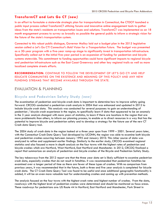# **TransformCT and Lets Go CT** *(new)*

In an effort to formulate a statewide strategic plan for transportation in Connecticut, the CTDOT launched a public input process called TransformCT utilizing forums and innovative online engagement tools to gather ideas from the state's residents on transportation issues and solutions. TransformCT was implemented as an 18 month engagement process to survey as broadly as possible the general public to inform a strategic vision for the future of the state's transportation system.

Connected to this robust public dialogue, Governor Malloy laid out a budget plan in the 2015 legislative session called a *Let's Go CT! Connecticut's Bold Vision for a Transportation Future*. The budget was presented as a 30-year program with a five-year ramp-up stage to significantly invest in transportation infrastructure. Specifically called out in the initial five-year period is an expansion of funding for pedestrian and bicycle systems statewide. This commitment to funding opportunities could have significant impacts to regional bicycle and pedestrian infrastructure such as the East Coast Greenway and other key regional trails as well as more localized complete streets efforts.

**RECOMMENDATION:** CONTINUE TO FOLLOW THE DEVELOPMENT OF LET'S GO CT! AND HELP EDUCATE COMMUNITIES ON THE EXISTENCE AND MEANING OF THIS POLICY AND ANY NEW FUNDING STREAMS THAT BECOME AVAILABLE THROUGH THE STATE.

# EVALUATION & PLANNING

# **Bicycle and Pedestrian Safety Study** *(new)*

The examination of pedestrian and bicycle crash data is important to determine how to improve safety going forward. CRCOG conducted a pedestrian crash analysis in 2004 that was enhanced and updated in 2012 to include bicycle crash data. This analysis was conducted for several purposes: to gain an understanding of pedestrian / bicycle crash experience in the region, to specifically learn if data that appeared to be an anomaly in the 3 year analysis changed with more years of statistics, to learn if there are locations in the region that are more problematic than others, to inform our planning process, to enable us to direct resources in a way that has the potential to improve bicycle and pedestrian safety and to develop a strategy for the future use of the new CT Crash data Query tool.

The 2004 study of crash data in the region looked at a three year span from 1999 – 2001. Several years later, with the Connecticut Crash Data Query Tool developed by UCONN, the region was able to examine both bicycle and pedestrian crashes occurring between January 1995 and January 2010. This richer source of data was analyzed to refine and supplement earlier findings. Similarly to the earlier study, CRCOG examined regional statistics and also focused a more in depth analysis on the four towns with the highest rates of pedestrian and bicycle crashes which are Hartford, West Hartford, East Hartford and Manchester. In 2012, CRCOG finalized a report that summarizes an analysis of pedestrian and bicycle crashes of the Bicycle and Pedestrian Safety Study.

The key takeaways from the 2012 report are that the three year data set is likely sufficient to examine pedestrian crash data, especially crashes that do not result in fatalities. It was recommended that pedestrian fatalities be examined over a longer period of time as there are fewer of these types of crashes. With no comparison from previous years, it was recommended that in the future, both a three and five year analysis is completed for bicycle crash data. The CT Crash Data Query Tool was found to be useful and once additional geographic functionality is added, it will be an even more valuable tool for understanding crashes and coming up with prevention methods.

The analysis focused on the four towns with the highest crash rates and highest number of crashes. From the data, roadways with the highest level of pedestrian crashes were determined and should be monitored as focus areas. These roadways for pedestrians are: US Route 44 in Hartford, East Hartford and Manchester, Park Street in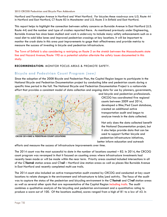Hartford and Farmington Avenue in Hartford and West Hartford. For bicycles these roadways are: U.S. Route 44 in Hartford and East Hartford, CT Route 83 in Manchester and U.S. Route 5 in Enfield and East Hartford.

This report helps to highlight the connection between safety concerns on Burnside Avenue in East Hartford (U.S. Route 44) and the number and type of crashes reported there. As mentioned previously under Engineering, Burnside Avenue has since been studied and work is underway to include many safety enhancements such as a road diet to add bike lanes and improved pedestrian crossings at key locations. It will be important to monitor the crash data in this area post improvements to gage their effectiveness and provide metrics to measure the success of investing in bicycle and pedestrian infrastructure.

The Town of Enfield is also considering a restriping on Route 5 on the stretch between the Massachusetts state line and Hazard Avenue/Route 190 as a potential solution alleviate the safety issues documented in this study.

#### **RECOMMENDATION:** MONITOR FOCUS AREAS & PROMOTE SAFETY.

# **Bicycle and Pedestrian Count Program** *(new)*

Since the adoption of the 2008 Bicycle and Pedestrian Plan, the Capitol Region began to participate in the National Bicycle and Pedestrian Documentation project by conducting bike and pedestrian counts during a specific time period in the fall. The National Bicycle and Pedestrian Documentation Project is a nationwide effort that provides a consistent model of data collection and ongoing data for use by planners, governments,



**CRCOG 2014 BIKE & PEDESTRIAN COUNT LOCATIONS**

and bicycle and pedestrian professionals. CRCOG has coordinated five regional counts between 2009 and 2014, developed a Bike/Ped Count database, created an additional active transportation audit and begun to analyze trends in the data collected.

Not only does the data collected benefit the National Documentation project, but it also helps provide data that can be used to support further bicycle and pedestrian infrastructure initiatives, better inform education and outreach

efforts and measure the success of infrastructure improvements over time.

The 2014 count was the most successful to date in the number of locations counted – 82. In 2014, the CRCOG count program was revamped in that it focused on counting areas where infrastructure investments had recently been made or will be made within the near term. Priority areas counted included intersections in all of the CT*fastrak* station areas and CT*rail* – Hartford Line station areas as well as places like Burnside Avenue in East Hartford and recently completed multi-use trails.

The 2014 count also included an active transportation audit created by CRCOG and conducted at key count locations to relate changes in the environment and infrastructure to bike/ped activity. The focus of the audit was to capture the status of the pedestrian and bicycling environment in the CT*fastrak* and CT*rail* station areas as well as several other spots that are representative of the Capitol Region including trails. The audit combines a qualitative analysis of the bicycling and pedestrian environment and a quantitative rating to produce a score out of 100. Of the locations audited, scores ranged from a high of 81 to a low of 43. In